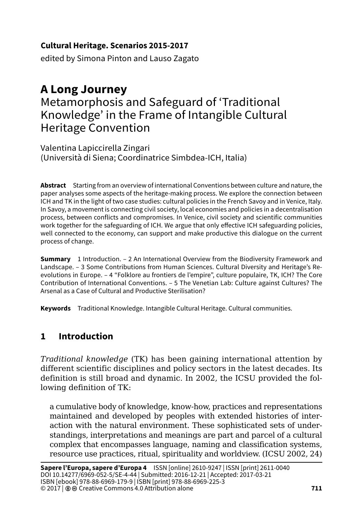**Cultural Heritage. Scenarios 2015-2017**

edited by Simona Pinton and Lauso Zagato

# **A Long Journey**

# Metamorphosis and Safeguard of 'Traditional Knowledge' in the Frame of Intangible Cultural Heritage Convention

Valentina Lapiccirella Zingari (Università di Siena; Coordinatrice Simbdea-ICH, Italia)

**Abstract** Starting from an overview of international Conventions between culture and nature, the paper analyses some aspects of the heritage-making process. We explore the connection between ICH and TK in the light of two case studies: cultural policies in the French Savoy and in Venice, Italy. In Savoy, a movement is connecting civil society, local economies and policies in a decentralisation process, between conflicts and compromises. In Venice, civil society and scientific communities work together for the safeguarding of ICH. We argue that only effective ICH safeguarding policies, well connected to the economy, can support and make productive this dialogue on the current process of change.

**Summary** 1 Introduction. – 2 An International Overview from the Biodiversity Framework and Landscape. – 3 Some Contributions from Human Sciences. Cultural Diversity and Heritage's Reevolutions in Europe. – 4 "Folklore au frontiers de l'empire", culture populaire, TK, ICH? The Core Contribution of International Conventions. – 5 The Venetian Lab: Culture against Cultures? The Arsenal as a Case of Cultural and Productive Sterilisation?

**Keywords** Traditional Knowledge. Intangible Cultural Heritage. Cultural communities.

## **1 Introduction**

*Traditional knowledge* (TK) has been gaining international attention by different scientific disciplines and policy sectors in the latest decades. Its definition is still broad and dynamic. In 2002, the ICSU provided the following definition of TK:

a cumulative body of knowledge, know-how, practices and representations maintained and developed by peoples with extended histories of interaction with the natural environment. These sophisticated sets of understandings, interpretations and meanings are part and parcel of a cultural complex that encompasses language, naming and classification systems, resource use practices, ritual, spirituality and worldview. (ICSU 2002, 24)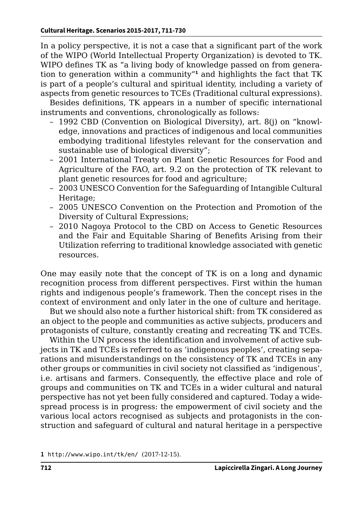In a policy perspective, it is not a case that a significant part of the work of the WIPO (World Intellectual Property Organization) is devoted to TK. WIPO defines TK as "a living body of knowledge passed on from generation to generation within a community"**<sup>1</sup>** and highlights the fact that TK is part of a people's cultural and spiritual identity, including a variety of aspects from genetic resources to TCEs (Traditional cultural expressions).

Besides definitions, TK appears in a number of specific international instruments and conventions, chronologically as follows:

- 1992 CBD (Convention on Biological Diversity), art. 8(j) on "knowledge, innovations and practices of indigenous and local communities embodying traditional lifestyles relevant for the conservation and sustainable use of biological diversity";
- 2001 International Treaty on Plant Genetic Resources for Food and Agriculture of the FAO, art. 9.2 on the protection of TK relevant to plant genetic resources for food and agriculture;
- 2003 UNESCO Convention for the Safeguarding of Intangible Cultural Heritage:
- 2005 UNESCO Convention on the Protection and Promotion of the Diversity of Cultural Expressions;
- 2010 Nagoya Protocol to the CBD on Access to Genetic Resources and the Fair and Equitable Sharing of Benefits Arising from their Utilization referring to traditional knowledge associated with genetic resources.

One may easily note that the concept of TK is on a long and dynamic recognition process from different perspectives. First within the human rights and indigenous people's framework. Then the concept rises in the context of environment and only later in the one of culture and heritage.

But we should also note a further historical shift: from TK considered as an object to the people and communities as active subjects, producers and protagonists of culture, constantly creating and recreating TK and TCEs.

Within the UN process the identification and involvement of active subjects in TK and TCEs is referred to as 'indigenous peoples', creating separations and misunderstandings on the consistency of TK and TCEs in any other groups or communities in civil society not classified as 'indigenous', i.e. artisans and farmers. Consequently, the effective place and role of groups and communities on TK and TCEs in a wider cultural and natural perspective has not yet been fully considered and captured. Today a widespread process is in progress: the empowerment of civil society and the various local actors recognised as subjects and protagonists in the construction and safeguard of cultural and natural heritage in a perspective

**<sup>1</sup>** [http://www.wipo.int/tk/en/]( http://www.wipo.int/tk/en/) (2017-12-15).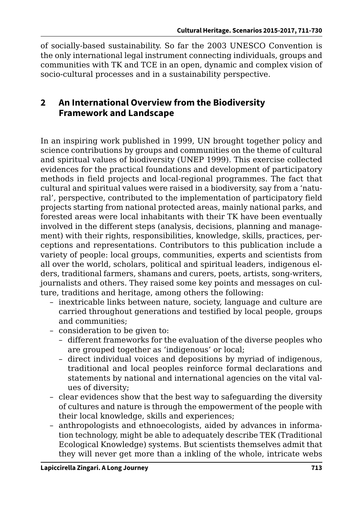of socially-based sustainability. So far the 2003 UNESCO Convention is the only international legal instrument connecting individuals, groups and communities with TK and TCE in an open, dynamic and complex vision of socio-cultural processes and in a sustainability perspective.

### **2 An International Overview from the Biodiversity Framework and Landscape**

In an inspiring work published in 1999, UN brought together policy and science contributions by groups and communities on the theme of cultural and spiritual values of biodiversity (UNEP 1999). This exercise collected evidences for the practical foundations and development of participatory methods in field projects and local-regional programmes. The fact that cultural and spiritual values were raised in a biodiversity, say from a 'natural', perspective, contributed to the implementation of participatory field projects starting from national protected areas, mainly national parks, and forested areas were local inhabitants with their TK have been eventually involved in the different steps (analysis, decisions, planning and management) with their rights, responsibilities, knowledge, skills, practices, perceptions and representations. Contributors to this publication include a variety of people: local groups, communities, experts and scientists from all over the world, scholars, political and spiritual leaders, indigenous elders, traditional farmers, shamans and curers, poets, artists, song-writers, journalists and others. They raised some key points and messages on culture, traditions and heritage, among others the following:

- inextricable links between nature, society, language and culture are carried throughout generations and testified by local people, groups and communities;
- consideration to be given to:
	- different frameworks for the evaluation of the diverse peoples who are grouped together as 'indigenous' or local;
	- direct individual voices and depositions by myriad of indigenous, traditional and local peoples reinforce formal declarations and statements by national and international agencies on the vital values of diversity;
- clear evidences show that the best way to safeguarding the diversity of cultures and nature is through the empowerment of the people with their local knowledge, skills and experiences;
- anthropologists and ethnoecologists, aided by advances in information technology, might be able to adequately describe TEK (Traditional Ecological Knowledge) systems. But scientists themselves admit that they will never get more than a inkling of the whole, intricate webs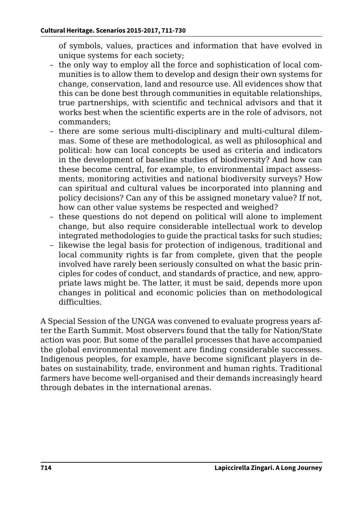of symbols, values, practices and information that have evolved in unique systems for each society;

- the only way to employ all the force and sophistication of local communities is to allow them to develop and design their own systems for change, conservation, land and resource use. All evidences show that this can be done best through communities in equitable relationships, true partnerships, with scientific and technical advisors and that it works best when the scientific experts are in the role of advisors, not commanders;
- there are some serious multi-disciplinary and multi-cultural dilemmas. Some of these are methodological, as well as philosophical and political: how can local concepts be used as criteria and indicators in the development of baseline studies of biodiversity? And how can these become central, for example, to environmental impact assessments, monitoring activities and national biodiversity surveys? How can spiritual and cultural values be incorporated into planning and policy decisions? Can any of this be assigned monetary value? If not, how can other value systems be respected and weighed?
- these questions do not depend on political will alone to implement change, but also require considerable intellectual work to develop integrated methodologies to guide the practical tasks for such studies;
- likewise the legal basis for protection of indigenous, traditional and local community rights is far from complete, given that the people involved have rarely been seriously consulted on what the basic principles for codes of conduct, and standards of practice, and new, appropriate laws might be. The latter, it must be said, depends more upon changes in political and economic policies than on methodological difficulties.

A Special Session of the UNGA was convened to evaluate progress years after the Earth Summit. Most observers found that the tally for Nation/State action was poor. But some of the parallel processes that have accompanied the global environmental movement are finding considerable successes. Indigenous peoples, for example, have become significant players in debates on sustainability, trade, environment and human rights. Traditional farmers have become well-organised and their demands increasingly heard through debates in the international arenas.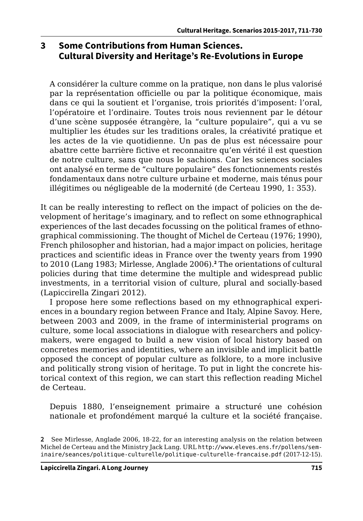#### **3 Some Contributions from Human Sciences. Cultural Diversity and Heritage's Re-Evolutions in Europe**

A considérer la culture comme on la pratique, non dans le plus valorisé par la représentation officielle ou par la politique économique, mais dans ce qui la soutient et l'organise, trois priorités d'imposent: l'oral, l'opératoire et l'ordinaire. Toutes trois nous reviennent par le détour d'une scène supposée étrangère, la "culture populaire", qui a vu se multiplier les études sur les traditions orales, la créativité pratique et les actes de la vie quotidienne. Un pas de plus est nécessaire pour abattre cette barrière fictive et reconnaitre qu'en vérité il est question de notre culture, sans que nous le sachions. Car les sciences sociales ont analysé en terme de "culture populaire" des fonctionnements restés fondamentaux dans notre culture urbaine et moderne, mais ténus pour illégitimes ou négligeable de la modernité (de Certeau 1990, 1: 353).

It can be really interesting to reflect on the impact of policies on the development of heritage's imaginary, and to reflect on some ethnographical experiences of the last decades focussing on the political frames of ethnographical commissioning. The thought of Michel de Certeau (1976; 1990), French philosopher and historian, had a major impact on policies, heritage practices and scientific ideas in France over the twenty years from 1990 to 2010 (Lang 1983; Mirlesse, Anglade 2006).**<sup>2</sup>** The orientations of cultural policies during that time determine the multiple and widespread public investments, in a territorial vision of culture, plural and socially-based (Lapiccirella Zingari 2012).

I propose here some reflections based on my ethnographical experiences in a boundary region between France and Italy, Alpine Savoy. Here, between 2003 and 2009, in the frame of interministerial programs on culture, some local associations in dialogue with researchers and policymakers, were engaged to build a new vision of local history based on concretes memories and identities, where an invisible and implicit battle opposed the concept of popular culture as folklore, to a more inclusive and politically strong vision of heritage. To put in light the concrete historical context of this region, we can start this reflection reading Michel de Certeau.

Depuis 1880, l'enseignement primaire a structuré une cohésion nationale et profondément marqué la culture et la société française.

**<sup>2</sup>** See Mirlesse, Anglade 2006, 18-22, for an interesting analysis on the relation between Michel de Certeau and the Ministry Jack Lang. URL [http://www.eleves.ens.fr/pollens/sem](http://www.eleves.ens.fr/pollens/seminaire/seances/politique-culturelle/politique-culturelle-francaise.pdf)[inaire/seances/politique-culturelle/politique-culturelle-francaise.pdf](http://www.eleves.ens.fr/pollens/seminaire/seances/politique-culturelle/politique-culturelle-francaise.pdf) (2017-12-15).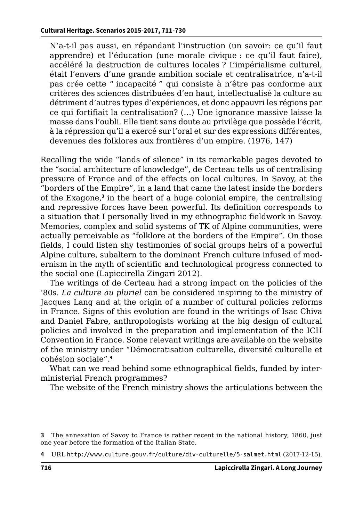N'a-t-il pas aussi, en répandant l'instruction (un savoir: ce qu'il faut apprendre) et l'éducation (une morale civique : ce qu'il faut faire), accéléré la destruction de cultures locales ? L'impérialisme culturel, était l'envers d'une grande ambition sociale et centralisatrice, n'a-t-il pas crée cette " incapacité " qui consiste à n'être pas conforme aux critères des sciences distribuées d'en haut, intellectualisé la culture au détriment d'autres types d'expériences, et donc appauvri les régions par ce qui fortifiait la centralisation? (…) Une ignorance massive laisse la masse dans l'oubli. Elle tient sans doute au privilège que possède l'écrit, à la répression qu'il a exercé sur l'oral et sur des expressions différentes, devenues des folklores aux frontières d'un empire. (1976, 147)

Recalling the wide "lands of silence" in its remarkable pages devoted to the "social architecture of knowledge", de Certeau tells us of centralising pressure of France and of the effects on local cultures. In Savoy, at the "borders of the Empire", in a land that came the latest inside the borders of the Exagone,**<sup>3</sup>** in the heart of a huge colonial empire, the centralising and repressive forces have been powerful. Its definition corresponds to a situation that I personally lived in my ethnographic fieldwork in Savoy. Memories, complex and solid systems of TK of Alpine communities, were actually perceivable as "folklore at the borders of the Empire". On those fields, I could listen shy testimonies of social groups heirs of a powerful Alpine culture, subaltern to the dominant French culture infused of modernism in the myth of scientific and technological progress connected to the social one (Lapiccirella Zingari 2012).

The writings of de Certeau had a strong impact on the policies of the '80s. *La culture au pluriel* can be considered inspiring to the ministry of Jacques Lang and at the origin of a number of cultural policies reforms in France. Signs of this evolution are found in the writings of Isac Chiva and Daniel Fabre, anthropologists working at the big design of cultural policies and involved in the preparation and implementation of the ICH Convention in France. Some relevant writings are available on the website of the ministry under "Démocratisation culturelle, diversité culturelle et cohésion sociale".**<sup>4</sup>**

What can we read behind some ethnographical fields, funded by interministerial French programmes?

The website of the French ministry shows the articulations between the

**<sup>3</sup>** The annexation of Savoy to France is rather recent in the national history, 1860, just one year before the formation of the Italian State.

**<sup>4</sup>** URL <http://www.culture.gouv.fr/culture/div-culturelle/5-salmet.html> (2017-12-15).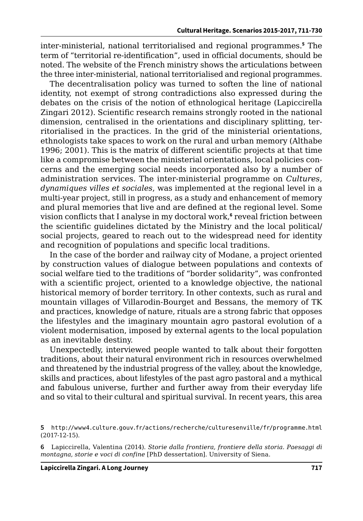inter-ministerial, national territorialised and regional programmes.**<sup>5</sup>** The term of "territorial re-identification", used in official documents, should be noted. The website of the French ministry shows the articulations between the three inter-ministerial, national territorialised and regional programmes.

The decentralisation policy was turned to soften the line of national identity, not exempt of strong contradictions also expressed during the debates on the crisis of the notion of ethnological heritage (Lapiccirella Zingari 2012). Scientific research remains strongly rooted in the national dimension, centralised in the orientations and disciplinary splitting, territorialised in the practices. In the grid of the ministerial orientations, ethnologists take spaces to work on the rural and urban memory (Althabe 1996; 2001). This is the matrix of different scientific projects at that time like a compromise between the ministerial orientations, local policies concerns and the emerging social needs incorporated also by a number of administration services. The inter-ministerial programme on *Cultures, dynamiques villes et sociales*, was implemented at the regional level in a multi-year project, still in progress, as a study and enhancement of memory and plural memories that live and are defined at the regional level. Some vision conflicts that I analyse in my doctoral work,<sup>6</sup> reveal friction between the scientific guidelines dictated by the Ministry and the local political/ social projects, geared to reach out to the widespread need for identity and recognition of populations and specific local traditions.

In the case of the border and railway city of Modane, a project oriented by construction values of dialogue between populations and contexts of social welfare tied to the traditions of "border solidarity", was confronted with a scientific project, oriented to a knowledge objective, the national historical memory of border territory. In other contexts, such as rural and mountain villages of Villarodin-Bourget and Bessans, the memory of TK and practices, knowledge of nature, rituals are a strong fabric that opposes the lifestyles and the imaginary mountain agro pastoral evolution of a violent modernisation, imposed by external agents to the local population as an inevitable destiny.

Unexpectedly, interviewed people wanted to talk about their forgotten traditions, about their natural environment rich in resources overwhelmed and threatened by the industrial progress of the valley, about the knowledge, skills and practices, about lifestyles of the past agro pastoral and a mythical and fabulous universe, further and further away from their everyday life and so vital to their cultural and spiritual survival. In recent years, this area

**<sup>5</sup>** <http://www4.culture.gouv.fr/actions/recherche/culturesenville/fr/programme.html> (2017-12-15).

**<sup>6</sup>** Lapiccirella, Valentina (2014). *Storie dalla frontiera, frontiere della storia. Paesaggi di montagna, storie e voci di confine* [PhD dessertation]. University of Siena.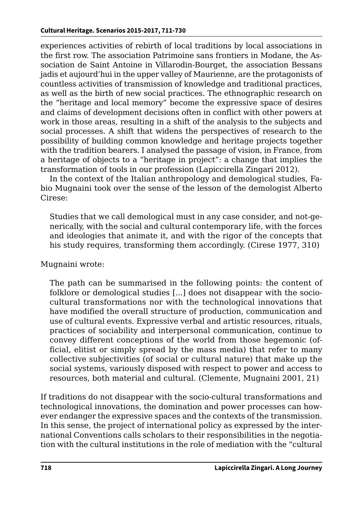experiences activities of rebirth of local traditions by local associations in the first row. The association Patrimoine sans frontiers in Modane, the Association de Saint Antoine in Villarodin-Bourget, the association Bessans jadis et aujourd'hui in the upper valley of Maurienne, are the protagonists of countless activities of transmission of knowledge and traditional practices, as well as the birth of new social practices. The ethnographic research on the "heritage and local memory" become the expressive space of desires and claims of development decisions often in conflict with other powers at work in those areas, resulting in a shift of the analysis to the subjects and social processes. A shift that widens the perspectives of research to the possibility of building common knowledge and heritage projects together with the tradition bearers. I analysed the passage of vision, in France, from a heritage of objects to a "heritage in project": a change that implies the transformation of tools in our profession (Lapiccirella Zingari 2012).

In the context of the Italian anthropology and demological studies, Fabio Mugnaini took over the sense of the lesson of the demologist Alberto Cirese:

Studies that we call demological must in any case consider, and not-generically, with the social and cultural contemporary life, with the forces and ideologies that animate it, and with the rigor of the concepts that his study requires, transforming them accordingly. (Cirese 1977, 310)

#### Mugnaini wrote:

The path can be summarised in the following points: the content of folklore or demological studies [...] does not disappear with the sociocultural transformations nor with the technological innovations that have modified the overall structure of production, communication and use of cultural events. Expressive verbal and artistic resources, rituals, practices of sociability and interpersonal communication, continue to convey different conceptions of the world from those hegemonic (official, elitist or simply spread by the mass media) that refer to many collective subjectivities (of social or cultural nature) that make up the social systems, variously disposed with respect to power and access to resources, both material and cultural. (Clemente, Mugnaini 2001, 21)

If traditions do not disappear with the socio-cultural transformations and technological innovations, the domination and power processes can however endanger the expressive spaces and the contexts of the transmission. In this sense, the project of international policy as expressed by the international Conventions calls scholars to their responsibilities in the negotiation with the cultural institutions in the role of mediation with the "cultural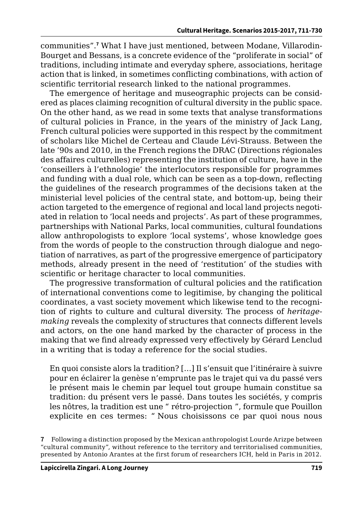communities".**<sup>7</sup>** What I have just mentioned, between Modane, Villarodin-Bourget and Bessans, is a concrete evidence of the "proliferate in social" of traditions, including intimate and everyday sphere, associations, heritage action that is linked, in sometimes conflicting combinations, with action of scientific territorial research linked to the national programmes.

The emergence of heritage and museographic projects can be considered as places claiming recognition of cultural diversity in the public space. On the other hand, as we read in some texts that analyse transformations of cultural policies in France, in the years of the ministry of Jack Lang, French cultural policies were supported in this respect by the commitment of scholars like Michel de Certeau and Claude Lévi-Strauss. Between the late '90s and 2010, in the French regions the DRAC (Directions régionales des affaires culturelles) representing the institution of culture, have in the 'conseillers à l'ethnologie' the interlocutors responsible for programmes and funding with a dual role, which can be seen as a top-down, reflecting the guidelines of the research programmes of the decisions taken at the ministerial level policies of the central state, and bottom-up, being their action targeted to the emergence of regional and local land projects negotiated in relation to 'local needs and projects'. As part of these programmes, partnerships with National Parks, local communities, cultural foundations allow anthropologists to explore 'local systems', whose knowledge goes from the words of people to the construction through dialogue and negotiation of narratives, as part of the progressive emergence of participatory methods, already present in the need of 'restitution' of the studies with scientific or heritage character to local communities.

The progressive transformation of cultural policies and the ratification of international conventions come to legitimise, by changing the political coordinates, a vast society movement which likewise tend to the recognition of rights to culture and cultural diversity. The process of *heritagemaking* reveals the complexity of structures that connects different levels and actors, on the one hand marked by the character of process in the making that we find already expressed very effectively by Gérard Lenclud in a writing that is today a reference for the social studies.

En quoi consiste alors la tradition? […] Il s'ensuit que l'itinéraire à suivre pour en éclairer la genèse n'emprunte pas le trajet qui va du passé vers le présent mais le chemin par lequel tout groupe humain constitue sa tradition: du présent vers le passé. Dans toutes les sociétés, y compris les nôtres, la tradition est une " rétro-projection ", formule que Pouillon explicite en ces termes: " Nous choisissons ce par quoi nous nous

**<sup>7</sup>** Following a distinction proposed by the Mexican anthropologist Lourde Arizpe between "cultural community", without reference to the territory and territorialised communities, presented by Antonio Arantes at the first forum of researchers ICH, held in Paris in 2012.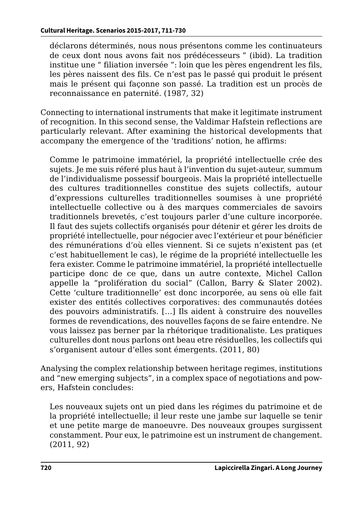déclarons déterminés, nous nous présentons comme les continuateurs de ceux dont nous avons fait nos prédécesseurs " (ibid). La tradition institue une " filiation inversée ": loin que les pères engendrent les fils, les pères naissent des fils. Ce n'est pas le passé qui produit le présent mais le présent qui façonne son passé. La tradition est un procès de reconnaissance en paternité. (1987, 32)

Connecting to international instruments that make it legitimate instrument of recognition. In this second sense, the Valdimar Hafstein reflections are particularly relevant. After examining the historical developments that accompany the emergence of the 'traditions' notion, he affirms:

Comme le patrimoine immatériel, la propriété intellectuelle crée des sujets. Je me suis réferé plus haut à l'invention du sujet-auteur, summum de l'individualisme possessif bourgeois. Mais la propriété intellectuelle des cultures traditionnelles constitue des sujets collectifs, autour d'expressions culturelles traditionnelles soumises à une propriété intellectuelle collective ou à des marques commerciales de savoirs traditionnels brevetés, c'est toujours parler d'une culture incorporée. Il faut des sujets collectifs organisés pour détenir et gérer les droits de propriété intellectuelle, pour négocier avec l'extérieur et pour bénéficier des rémunérations d'où elles viennent. Si ce sujets n'existent pas (et c'est habituellement le cas), le régime de la propriété intellectuelle les fera exister. Comme le patrimoine immatériel, la propriété intellectuelle participe donc de ce que, dans un autre contexte, Michel Callon appelle la "prolifération du social" (Callon, Barry & Slater 2002). Cette 'culture traditionnelle' est donc incorporée, au sens où elle fait exister des entités collectives corporatives: des communautés dotées des pouvoirs administratifs. […] Ils aident à construire des nouvelles formes de revendications, des nouvelles façons de se faire entendre. Ne vous laissez pas berner par la rhétorique traditionaliste. Les pratiques culturelles dont nous parlons ont beau etre résiduelles, les collectifs qui s'organisent autour d'elles sont émergents. (2011, 80)

Analysing the complex relationship between heritage regimes, institutions and "new emerging subjects", in a complex space of negotiations and powers, Hafstein concludes:

Les nouveaux sujets ont un pied dans les régimes du patrimoine et de la propriété intellectuelle; il leur reste une jambe sur laquelle se tenir et une petite marge de manoeuvre. Des nouveaux groupes surgissent constamment. Pour eux, le patrimoine est un instrument de changement. (2011, 92)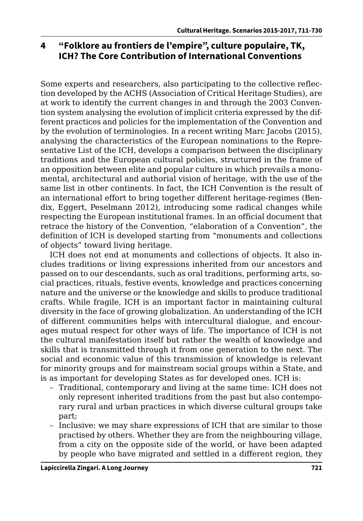### **4 "Folklore au frontiers de l'empire", culture populaire, TK, ICH? The Core Contribution of International Conventions**

Some experts and researchers, also participating to the collective reflection developed by the ACHS (Association of Critical Heritage Studies), are at work to identify the current changes in and through the 2003 Convention system analysing the evolution of implicit criteria expressed by the different practices and policies for the implementation of the Convention and by the evolution of terminologies. In a recent writing Marc Jacobs (2015), analysing the characteristics of the European nominations to the Representative List of the ICH, develops a comparison between the disciplinary traditions and the European cultural policies, structured in the frame of an opposition between elite and popular culture in which prevails a monumental, architectural and authorial vision of heritage, with the use of the same list in other continents. In fact, the ICH Convention is the result of an international effort to bring together different heritage-regimes (Bendix, Eggert, Peselmann 2012), introducing some radical changes while respecting the European institutional frames. In an official document that retrace the history of the Convention, "elaboration of a Convention", the definition of ICH is developed starting from "monuments and collections of objects" toward living heritage.

ICH does not end at monuments and collections of objects. It also includes traditions or living expressions inherited from our ancestors and passed on to our descendants, such as oral traditions, performing arts, social practices, rituals, festive events, knowledge and practices concerning nature and the universe or the knowledge and skills to produce traditional crafts. While fragile, ICH is an important factor in maintaining cultural diversity in the face of growing globalization. An understanding of the ICH of different communities helps with intercultural dialogue, and encourages mutual respect for other ways of life. The importance of ICH is not the cultural manifestation itself but rather the wealth of knowledge and skills that is transmitted through it from one generation to the next. The social and economic value of this transmission of knowledge is relevant for minority groups and for mainstream social groups within a State, and is as important for developing States as for developed ones. ICH is:

- Traditional, contemporary and living at the same time: ICH does not only represent inherited traditions from the past but also contemporary rural and urban practices in which diverse cultural groups take part;
- Inclusive: we may share expressions of ICH that are similar to those practised by others. Whether they are from the neighbouring village, from a city on the opposite side of the world, or have been adapted by people who have migrated and settled in a different region, they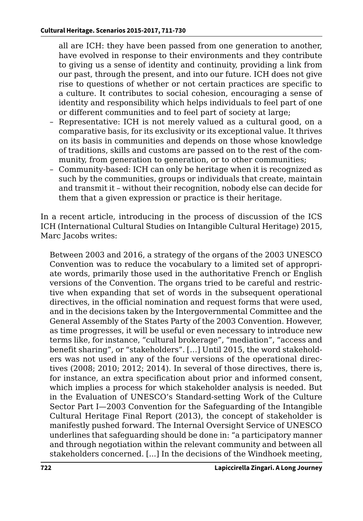all are ICH: they have been passed from one generation to another, have evolved in response to their environments and they contribute to giving us a sense of identity and continuity, providing a link from our past, through the present, and into our future. ICH does not give rise to questions of whether or not certain practices are specific to a culture. It contributes to social cohesion, encouraging a sense of identity and responsibility which helps individuals to feel part of one or different communities and to feel part of society at large;

- Representative: ICH is not merely valued as a cultural good, on a comparative basis, for its exclusivity or its exceptional value. It thrives on its basis in communities and depends on those whose knowledge of traditions, skills and customs are passed on to the rest of the community, from generation to generation, or to other communities;
- Community-based: ICH can only be heritage when it is recognized as such by the communities, groups or individuals that create, maintain and transmit it – without their recognition, nobody else can decide for them that a given expression or practice is their heritage.

In a recent article, introducing in the process of discussion of the ICS ICH (International Cultural Studies on Intangible Cultural Heritage) 2015, Marc Jacobs writes:

Between 2003 and 2016, a strategy of the organs of the 2003 UNESCO Convention was to reduce the vocabulary to a limited set of appropriate words, primarily those used in the authoritative French or English versions of the Convention. The organs tried to be careful and restrictive when expanding that set of words in the subsequent operational directives, in the official nomination and request forms that were used, and in the decisions taken by the Intergovernmental Committee and the General Assembly of the States Party of the 2003 Convention. However, as time progresses, it will be useful or even necessary to introduce new terms like, for instance, "cultural brokerage", "mediation", "access and benefit sharing", or "stakeholders". […] Until 2015, the word stakeholders was not used in any of the four versions of the operational directives (2008; 2010; 2012; 2014). In several of those directives, there is, for instance, an extra specification about prior and informed consent, which implies a process for which stakeholder analysis is needed. But in the Evaluation of UNESCO's Standard‐setting Work of the Culture Sector Part I—2003 Convention for the Safeguarding of the Intangible Cultural Heritage Final Report (2013), the concept of stakeholder is manifestly pushed forward. The Internal Oversight Service of UNESCO underlines that safeguarding should be done in: "a participatory manner and through negotiation within the relevant community and between all stakeholders concerned. [...] In the decisions of the Windhoek meeting,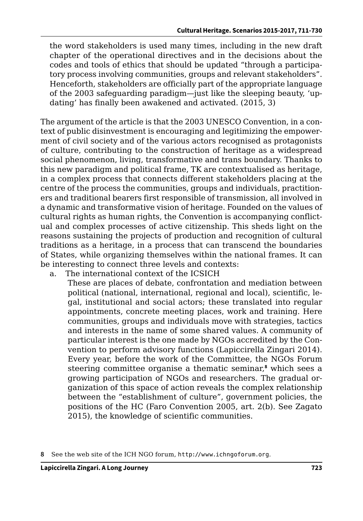the word stakeholders is used many times, including in the new draft chapter of the operational directives and in the decisions about the codes and tools of ethics that should be updated "through a participatory process involving communities, groups and relevant stakeholders". Henceforth, stakeholders are officially part of the appropriate language of the 2003 safeguarding paradigm—just like the sleeping beauty, 'updating' has finally been awakened and activated. (2015, 3)

The argument of the article is that the 2003 UNESCO Convention, in a context of public disinvestment is encouraging and legitimizing the empowerment of civil society and of the various actors recognised as protagonists of culture, contributing to the construction of heritage as a widespread social phenomenon, living, transformative and trans boundary. Thanks to this new paradigm and political frame, TK are contextualised as heritage, in a complex process that connects different stakeholders placing at the centre of the process the communities, groups and individuals, practitioners and traditional bearers first responsible of transmission, all involved in a dynamic and transformative vision of heritage. Founded on the values of cultural rights as human rights, the Convention is accompanying conflictual and complex processes of active citizenship. This sheds light on the reasons sustaining the projects of production and recognition of cultural traditions as a heritage, in a process that can transcend the boundaries of States, while organizing themselves within the national frames. It can be interesting to connect three levels and contexts:

a. The international context of the ICSICH

These are places of debate, confrontation and mediation between political (national, international, regional and local), scientific, legal, institutional and social actors; these translated into regular appointments, concrete meeting places, work and training. Here communities, groups and individuals move with strategies, tactics and interests in the name of some shared values. A community of particular interest is the one made by NGOs accredited by the Convention to perform advisory functions (Lapiccirella Zingari 2014). Every year, before the work of the Committee, the NGOs Forum steering committee organise a thematic seminar,**<sup>8</sup>** which sees a growing participation of NGOs and researchers. The gradual organization of this space of action reveals the complex relationship between the "establishment of culture", government policies, the positions of the HC (Faro Convention 2005, art. 2(b). See Zagato 2015), the knowledge of scientific communities.

**<sup>8</sup>** See the web site of the ICH NGO forum, <http://www.ichngoforum.org>.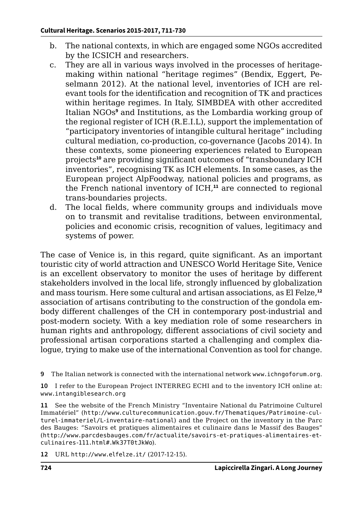- b. The national contexts, in which are engaged some NGOs accredited by the ICSICH and researchers.
- c. They are all in various ways involved in the processes of heritagemaking within national "heritage regimes" (Bendix, Eggert, Peselmann 2012). At the national level, inventories of ICH are relevant tools for the identification and recognition of TK and practices within heritage regimes. In Italy, SIMBDEA with other accredited Italian NGOs<sup>9</sup> and Institutions, as the Lombardia working group of the regional register of ICH (R.E.I.L), support the implementation of "participatory inventories of intangible cultural heritage" including cultural mediation, co-production, co-governance (Jacobs 2014). In these contexts, some pioneering experiences related to European projects**<sup>10</sup>** are providing significant outcomes of "transboundary ICH inventories", recognising TK as ICH elements. In some cases, as the European project AlpFoodway, national policies and programs, as the French national inventory of ICH,**<sup>11</sup>** are connected to regional trans-boundaries projects.
- d. The local fields, where community groups and individuals move on to transmit and revitalise traditions, between environmental, policies and economic crisis, recognition of values, legitimacy and systems of power.

The case of Venice is, in this regard, quite significant. As an important touristic city of world attraction and UNESCO World Heritage Site, Venice is an excellent observatory to monitor the uses of heritage by different stakeholders involved in the local life, strongly influenced by globalization and mass tourism. Here some cultural and artisan associations, as El Felze,**<sup>12</sup>** association of artisans contributing to the construction of the gondola embody different challenges of the CH in contemporary post-industrial and post-modern society. With a key mediation role of some researchers in human rights and anthropology, different associations of civil society and professional artisan corporations started a challenging and complex dialogue, trying to make use of the international Convention as tool for change.

**9** The Italian network is connected with the international network [www.ichngoforum.org](http://www.ichngoforum.org).

**10** I refer to the European Project INTERREG ECHI and to the inventory ICH online at: [www.intangiblesearch.org](http://www.intangiblesearch.org)

**11** See the website of the French Ministry "Inventaire National du Patrimoine Culturel Immatériel" ([http://www.culturecommunication.gouv.fr/Thematiques/Patrimoine-cul](http://www.culturecommunication.gouv.fr/Thematiques/Patrimoine-culturel-immateriel/L-inventaire-national)[turel-immateriel/L-inventaire-national](http://www.culturecommunication.gouv.fr/Thematiques/Patrimoine-culturel-immateriel/L-inventaire-national)) and the Project on the inventory in the Parc des Bauges: "Savoirs et pratiques alimentaires et culinaire dans le Massif des Bauges" ([http://www.parcdesbauges.com/fr/actualite/savoirs-et-pratiques-alimentaires-et](http://www.parcdesbauges.com/fr/actualite/savoirs-et-pratiques-alimentaires-et-culinaires-111.html#.)[culinaires-111.html#.Wk37T0tJkWo](http://www.parcdesbauges.com/fr/actualite/savoirs-et-pratiques-alimentaires-et-culinaires-111.html#.)).

**12** URL <http://www.elfelze.it/> (2017-12-15).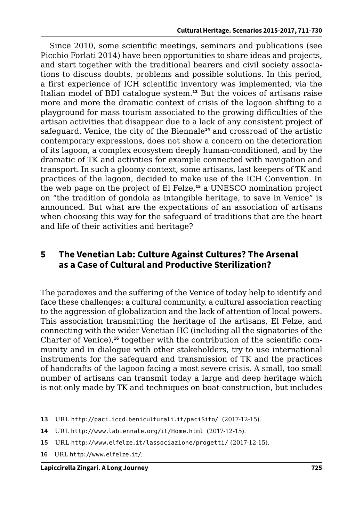Since 2010, some scientific meetings, seminars and publications (see Picchio Forlati 2014) have been opportunities to share ideas and projects, and start together with the traditional bearers and civil society associations to discuss doubts, problems and possible solutions. In this period, a first experience of ICH scientific inventory was implemented, via the Italian model of BDI catalogue system.**<sup>13</sup>** But the voices of artisans raise more and more the dramatic context of crisis of the lagoon shifting to a playground for mass tourism associated to the growing difficulties of the artisan activities that disappear due to a lack of any consistent project of safeguard. Venice, the city of the Biennale**<sup>14</sup>** and crossroad of the artistic contemporary expressions, does not show a concern on the deterioration of its lagoon, a complex ecosystem deeply human-conditioned, and by the dramatic of TK and activities for example connected with navigation and transport. In such a gloomy context, some artisans, last keepers of TK and practices of the lagoon, decided to make use of the ICH Convention. In the web page on the project of El Felze,**<sup>15</sup>** a UNESCO nomination project on "the tradition of gondola as intangible heritage, to save in Venice" is announced. But what are the expectations of an association of artisans when choosing this way for the safeguard of traditions that are the heart and life of their activities and heritage?

#### **5 The Venetian Lab: Culture Against Cultures? The Arsenal as a Case of Cultural and Productive Sterilization?**

The paradoxes and the suffering of the Venice of today help to identify and face these challenges: a cultural community, a cultural association reacting to the aggression of globalization and the lack of attention of local powers. This association transmitting the heritage of the artisans, El Felze, and connecting with the wider Venetian HC (including all the signatories of the Charter of Venice),**16** together with the contribution of the scientific community and in dialogue with other stakeholders, try to use international instruments for the safeguard and transmission of TK and the practices of handcrafts of the lagoon facing a most severe crisis. A small, too small number of artisans can transmit today a large and deep heritage which is not only made by TK and techniques on boat-construction, but includes

```
14 URL http://www.labiennale.org/it/Home.html (2017-12-15).
```

```
15 URL http://www.elfelze.it/lassociazione/progetti/ (2017-12-15).
```

```
16 URL http://www.elfelze.it/.
```
**<sup>13</sup>** URL <http://paci.iccd.beniculturali.it/paciSito/> (2017-12-15).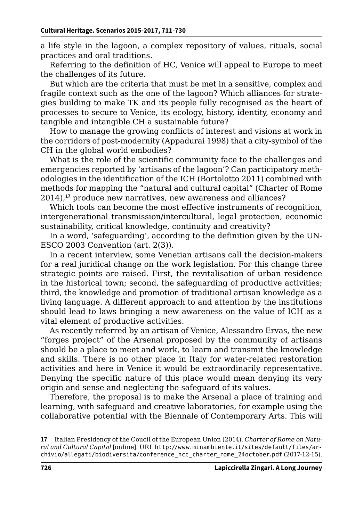a life style in the lagoon, a complex repository of values, rituals, social practices and oral traditions.

Referring to the definition of HC, Venice will appeal to Europe to meet the challenges of its future.

But which are the criteria that must be met in a sensitive, complex and fragile context such as the one of the lagoon? Which alliances for strategies building to make TK and its people fully recognised as the heart of processes to secure to Venice, its ecology, history, identity, economy and tangible and intangible CH a sustainable future?

How to manage the growing conflicts of interest and visions at work in the corridors of post-modernity (Appadurai 1998) that a city-symbol of the CH in the global world embodies?

What is the role of the scientific community face to the challenges and emergencies reported by 'artisans of the lagoon'? Can participatory methodologies in the identification of the ICH (Bortolotto 2011) combined with methods for mapping the "natural and cultural capital" (Charter of Rome 2014),**<sup>17</sup>** produce new narratives, new awareness and alliances?

Which tools can become the most effective instruments of recognition, intergenerational transmission/intercultural, legal protection, economic sustainability, critical knowledge, continuity and creativity?

In a word, 'safeguarding', according to the definition given by the UN-ESCO 2003 Convention (art. 2(3)).

In a recent interview, some Venetian artisans call the decision-makers for a real juridical change on the work legislation. For this change three strategic points are raised. First, the revitalisation of urban residence in the historical town; second, the safeguarding of productive activities; third, the knowledge and promotion of traditional artisan knowledge as a living language. A different approach to and attention by the institutions should lead to laws bringing a new awareness on the value of ICH as a vital element of productive activities.

As recently referred by an artisan of Venice, Alessandro Ervas, the new "forges project" of the Arsenal proposed by the community of artisans should be a place to meet and work, to learn and transmit the knowledge and skills. There is no other place in Italy for water-related restoration activities and here in Venice it would be extraordinarily representative. Denying the specific nature of this place would mean denying its very origin and sense and neglecting the safeguard of its values.

Therefore, the proposal is to make the Arsenal a place of training and learning, with safeguard and creative laboratories, for example using the collaborative potential with the Biennale of Contemporary Arts. This will

**<sup>17</sup>** Italian Presidency of the Coucil of the European Union (2014). *Charter of Rome on Natural and Cultural Capital* [online]. URL [http://www.minambiente.it/sites/default/files/ar](http://www.minambiente.it/sites/default/files/archivio/allegati/biodiversita/conference_ncc_charter_rome_24october.pdf)[chivio/allegati/biodiversita/conference\\_ncc\\_charter\\_rome\\_24october.pdf](http://www.minambiente.it/sites/default/files/archivio/allegati/biodiversita/conference_ncc_charter_rome_24october.pdf) (2017-12-15).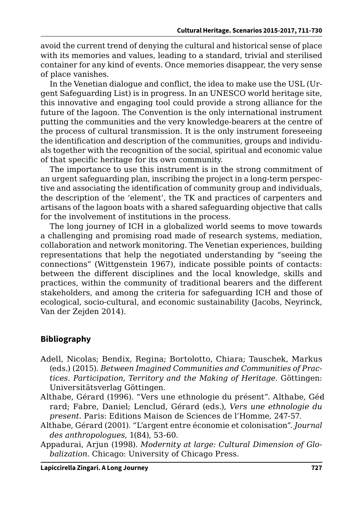avoid the current trend of denying the cultural and historical sense of place with its memories and values, leading to a standard, trivial and sterilised container for any kind of events. Once memories disappear, the very sense of place vanishes.

In the Venetian dialogue and conflict, the idea to make use the USL (Urgent Safeguarding List) is in progress. In an UNESCO world heritage site, this innovative and engaging tool could provide a strong alliance for the future of the lagoon. The Convention is the only international instrument putting the communities and the very knowledge-bearers at the centre of the process of cultural transmission. It is the only instrument foreseeing the identification and description of the communities, groups and individuals together with the recognition of the social, spiritual and economic value of that specific heritage for its own community.

The importance to use this instrument is in the strong commitment of an urgent safeguarding plan, inscribing the project in a long-term perspective and associating the identification of community group and individuals, the description of the 'element', the TK and practices of carpenters and artisans of the lagoon boats with a shared safeguarding objective that calls for the involvement of institutions in the process.

The long journey of ICH in a globalized world seems to move towards a challenging and promising road made of research systems, mediation, collaboration and network monitoring. The Venetian experiences, building representations that help the negotiated understanding by "seeing the connections" (Wittgenstein 1967), indicate possible points of contacts: between the different disciplines and the local knowledge, skills and practices, within the community of traditional bearers and the different stakeholders, and among the criteria for safeguarding ICH and those of ecological, socio-cultural, and economic sustainability (Jacobs, Neyrinck, Van der Zejden 2014).

#### **Bibliography**

- Adell, Nicolas; Bendix, Regina; Bortolotto, Chiara; Tauschek, Markus (eds.) (2015). *Between Imagined Communities and Communities of Practices. Participation, Territory and the Making of Heritage.* Göttingen: Universitätsverlag Göttingen.
- Althabe, Gérard (1996). "Vers une ethnologie du présent". Althabe, Gédrard; Fabre, Daniel; Lenclud, Gérard (eds.), *Vers une ethnologie du present*. Paris: Editions Maison de Sciences de l'Homme, 247-57.
- Althabe, Gérard (2001). "L'argent entre économie et colonisation". *Journal des anthropologues*, 1(84), 53-60.
- Appadurai, Arjun (1998). *Modernity at large: Cultural Dimension of Globalization.* Chicago: University of Chicago Press.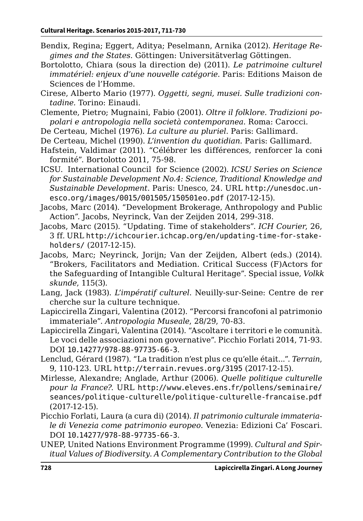- Bendix, Regina; Eggert, Aditya; Peselmann, Arnika (2012). *Heritage Regimes and the States*. Göttingen: Universitätverlag Göttingen.
- Bortolotto, Chiara (sous la direction de) (2011). *Le patrimoine culturel immatériel: enjeux d'une nouvelle catégorie*. Paris: Editions Maison de Sciences de l'Homme.
- Cirese, Alberto Mario (1977). *Oggetti, segni, musei. Sulle tradizioni contadine.* Torino: Einaudi.
- Clemente, Pietro; Mugnaini, Fabio (2001). *Oltre il folklore. Tradizioni popolari e antropologia nella società contemporanea*. Roma: Carocci.
- De Certeau, Michel (1976). *La culture au pluriel*. Paris: Gallimard.
- De Certeau, Michel (1990). *L'invention du quotidian*. Paris: Gallimard.
- Hafstein, Valdimar (2011). "Célébrer les différences, renforcer la coniformité". Bortolotto 2011, 75-98.
- ICSU. International Council for Science (2002). *ICSU Series on Science for Sustainable Development No.4: Science, Traditional Knowledge and Sustainable Development*. Paris: Unesco, 24. URL [http://unesdoc.un](http://unesdoc.unesco.org/images/0015/001505/150501eo.pdf)[esco.org/images/0015/001505/150501eo.pdf](http://unesdoc.unesco.org/images/0015/001505/150501eo.pdf) (2017-12-15).

Jacobs, Marc (2014). "Development Brokerage, Anthropology and Public Action*".* Jacobs, Neyrinck, Van der Zeijden 2014, 299-318.

- Jacobs, Marc (2015). "Updating. Time of stakeholders". *ICH Courier*, 26, 3 ff. URL [http://ichcourier.ichcap.org/en/updating-time-for-stake](http://ichcourier.ichcap.org/en/updating-time-for-stakeholders/)[holders/](http://ichcourier.ichcap.org/en/updating-time-for-stakeholders/) (2017-12-15).
- Jacobs, Marc; Neyrinck, Jorijn; Van der Zeijden, Albert (eds.) (2014). "Brokers, Facilitators and Mediation. Critical Success (F)Actors for the Safeguarding of Intangible Cultural Heritage". Special issue, Volkk *skunde*, 115(3).
- Lang, Jack (1983). *L'impératif culturel*. Neuilly-sur-Seine: Centre de rercherche sur la culture technique.

Lapiccirella Zingari, Valentina (2012). "Percorsi francofoni al patrimonio immateriale". *Antropologia Museale*, 28/29, 70-83.

- Lapiccirella Zingari, Valentina (2014). "Ascoltare i territori e le comunità. Le voci delle associazioni non governative". Picchio Forlati 2014, 71-93. DOI [10.14277/978-88-97735-66-3](http://doi.org/10.14277/978-88-97735-66-3).
- Lenclud, Gérard (1987). "La tradition n'est plus ce qu'elle était...". *Terrain*, 9, 110-123. URL <http://terrain.revues.org/3195> (2017-12-15).
- Mirlesse, Alexandre; Anglade, Arthur (2006). *Quelle politique culturelle pour la France?*. URL [http://www.eleves.ens.fr/pollens/seminaire/](http://www.eleves.ens.fr/pollens/seminaire/seances/politique-culturelle/politique-culturelle-francai) [seances/politique-culturelle/politique-culturelle-francaise.pdf](http://www.eleves.ens.fr/pollens/seminaire/seances/politique-culturelle/politique-culturelle-francai) (2017-12-15).
- Picchio Forlati, Laura (a cura di) (2014). *Il patrimonio culturale immateriale di Venezia come patrimonio europeo*. Venezia: Edizioni Ca' Foscari. DOI [10.14277/978-88-97735-66-3](http://doi.org/10.14277/978-88-97735-66-3).
- UNEP, United Nations Environment Programme (1999). *Cultural and Spiritual Values of Biodiversity*. *A Complementary Contribution to the Global*